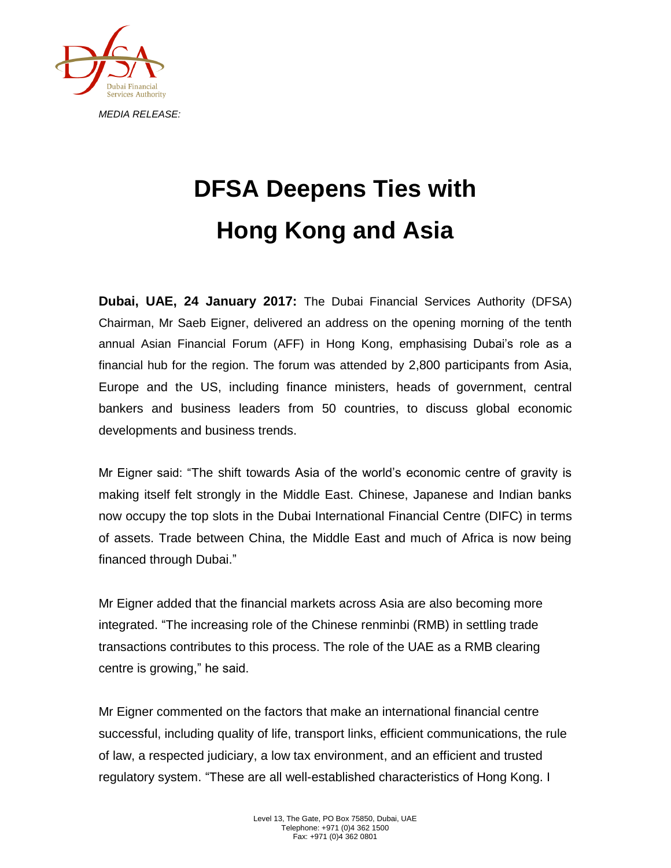

## **DFSA Deepens Ties with Hong Kong and Asia**

**Dubai, UAE, 24 January 2017:** The Dubai Financial Services Authority (DFSA) Chairman, Mr Saeb Eigner, delivered an address on the opening morning of the tenth annual Asian Financial Forum (AFF) in Hong Kong, emphasising Dubai's role as a financial hub for the region. The forum was attended by 2,800 participants from Asia, Europe and the US, including finance ministers, heads of government, central bankers and business leaders from 50 countries, to discuss global economic developments and business trends.

Mr Eigner said: "The shift towards Asia of the world's economic centre of gravity is making itself felt strongly in the Middle East. Chinese, Japanese and Indian banks now occupy the top slots in the Dubai International Financial Centre (DIFC) in terms of assets. Trade between China, the Middle East and much of Africa is now being financed through Dubai."

Mr Eigner added that the financial markets across Asia are also becoming more integrated. "The increasing role of the Chinese renminbi (RMB) in settling trade transactions contributes to this process. The role of the UAE as a RMB clearing centre is growing," he said.

Mr Eigner commented on the factors that make an international financial centre successful, including quality of life, transport links, efficient communications, the rule of law, a respected judiciary, a low tax environment, and an efficient and trusted regulatory system. "These are all well-established characteristics of Hong Kong. I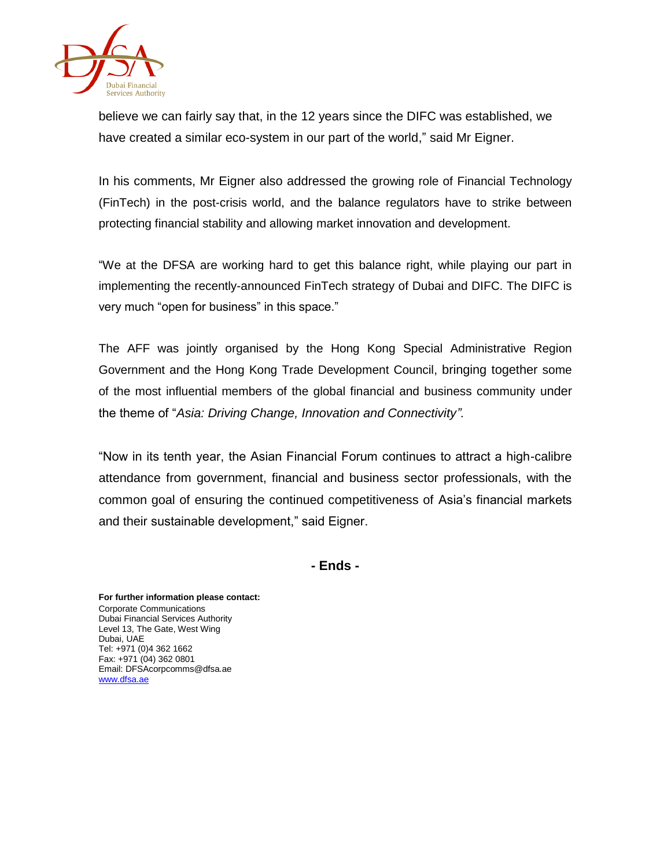

believe we can fairly say that, in the 12 years since the DIFC was established, we have created a similar eco-system in our part of the world," said Mr Eigner.

In his comments, Mr Eigner also addressed the growing role of Financial Technology (FinTech) in the post-crisis world, and the balance regulators have to strike between protecting financial stability and allowing market innovation and development.

"We at the DFSA are working hard to get this balance right, while playing our part in implementing the recently-announced FinTech strategy of Dubai and DIFC. The DIFC is very much "open for business" in this space."

The AFF was jointly organised by the Hong Kong Special Administrative Region Government and the Hong Kong Trade Development Council, bringing together some of the most influential members of the global financial and business community under the theme of "*Asia: Driving Change, Innovation and Connectivity".*

"Now in its tenth year, the Asian Financial Forum continues to attract a high-calibre attendance from government, financial and business sector professionals, with the common goal of ensuring the continued competitiveness of Asia's financial markets and their sustainable development," said Eigner.

**- Ends -**

**For further information please contact:** Corporate Communications Dubai Financial Services Authority Level 13, The Gate, West Wing Dubai, UAE Tel: +971 (0)4 362 1662 Fax: +971 (04) 362 0801 Email: DFSAcorpcomms@dfsa.ae [www.dfsa.ae](http://www.dfsa.ae/)